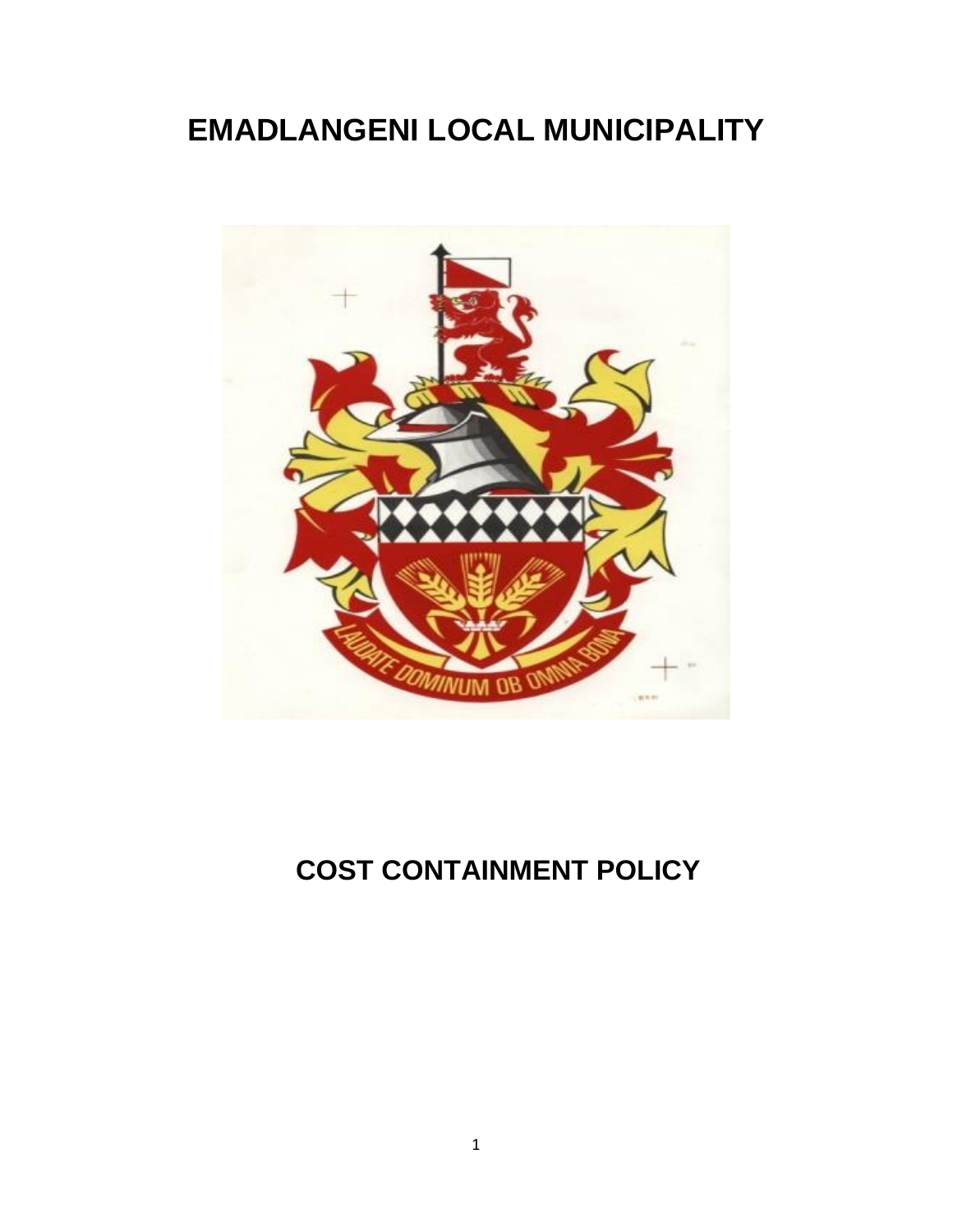# **EMADLANGENI LOCAL MUNICIPALITY**



## **COST CONTAINMENT POLICY**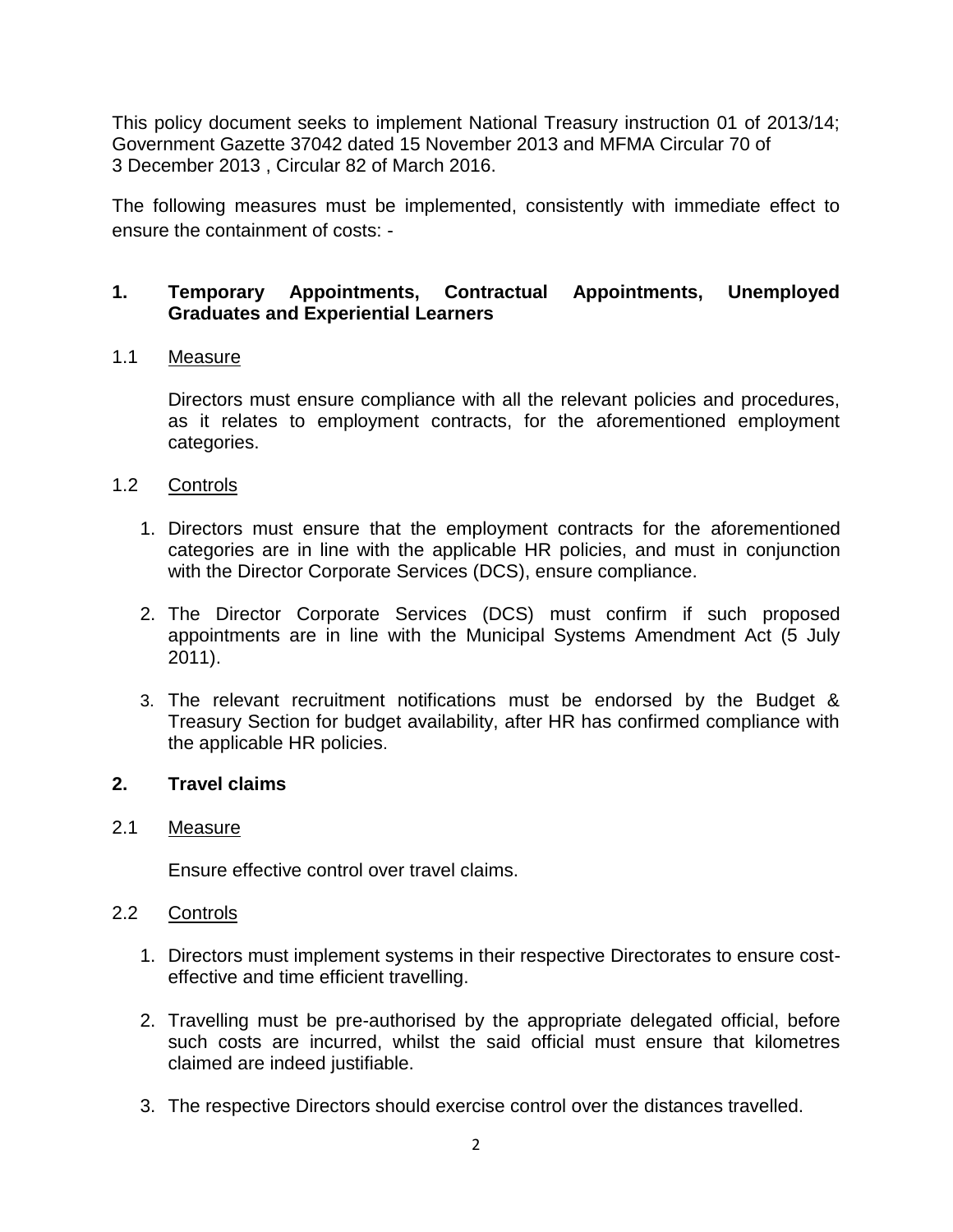This policy document seeks to implement National Treasury instruction 01 of 2013/14; Government Gazette 37042 dated 15 November 2013 and MFMA Circular 70 of 3 December 2013 , Circular 82 of March 2016.

The following measures must be implemented, consistently with immediate effect to ensure the containment of costs: -

## **1. Temporary Appointments, Contractual Appointments, Unemployed Graduates and Experiential Learners**

#### 1.1 Measure

Directors must ensure compliance with all the relevant policies and procedures, as it relates to employment contracts, for the aforementioned employment categories.

- 1.2 Controls
	- 1. Directors must ensure that the employment contracts for the aforementioned categories are in line with the applicable HR policies, and must in conjunction with the Director Corporate Services (DCS), ensure compliance.
	- 2. The Director Corporate Services (DCS) must confirm if such proposed appointments are in line with the Municipal Systems Amendment Act (5 July 2011).
	- 3. The relevant recruitment notifications must be endorsed by the Budget & Treasury Section for budget availability, after HR has confirmed compliance with the applicable HR policies.

#### **2. Travel claims**

#### 2.1 Measure

Ensure effective control over travel claims.

#### 2.2 Controls

- 1. Directors must implement systems in their respective Directorates to ensure costeffective and time efficient travelling.
- 2. Travelling must be pre-authorised by the appropriate delegated official, before such costs are incurred, whilst the said official must ensure that kilometres claimed are indeed justifiable.
- 3. The respective Directors should exercise control over the distances travelled.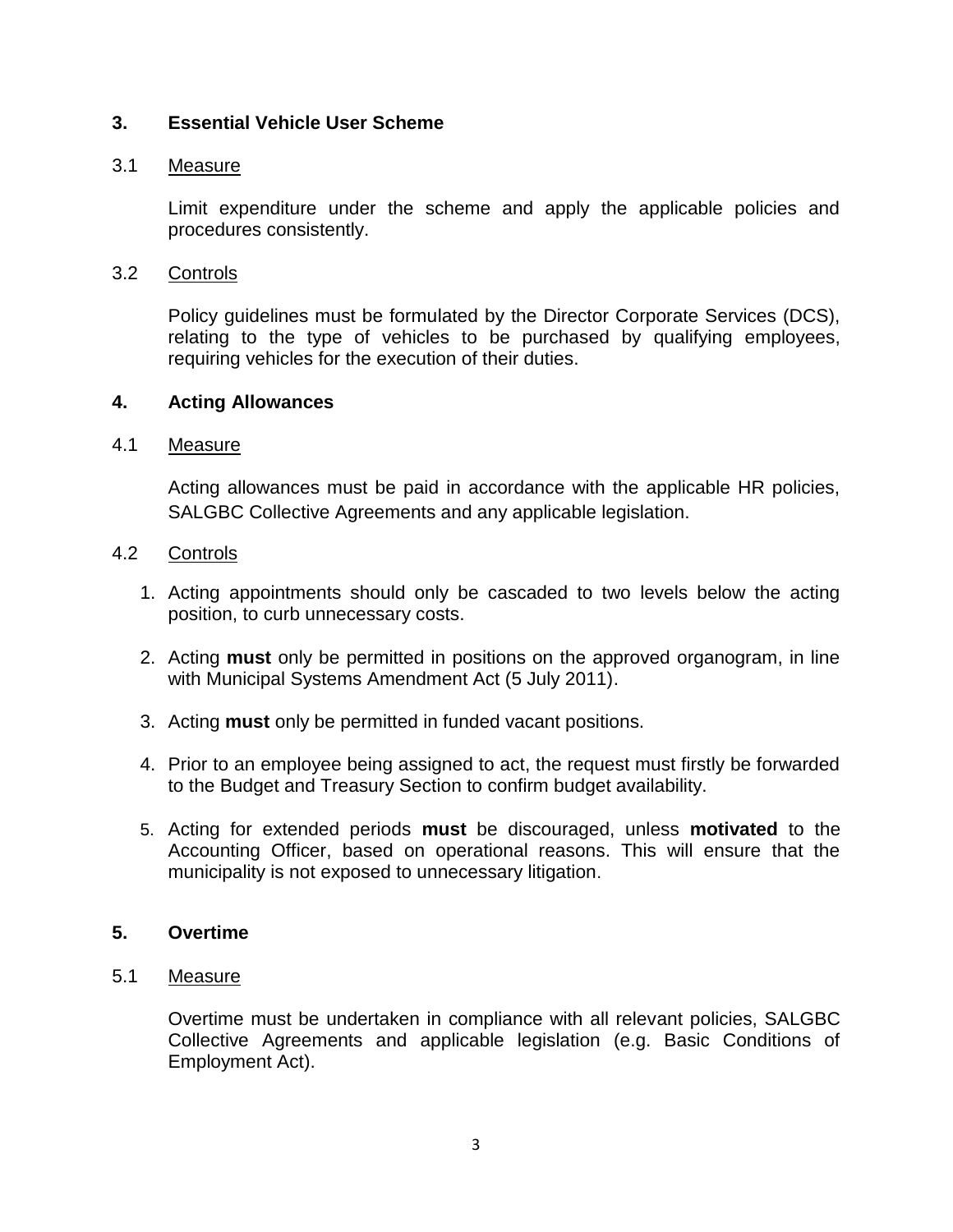## **3. Essential Vehicle User Scheme**

#### 3.1 Measure

Limit expenditure under the scheme and apply the applicable policies and procedures consistently.

## 3.2 Controls

Policy guidelines must be formulated by the Director Corporate Services (DCS), relating to the type of vehicles to be purchased by qualifying employees, requiring vehicles for the execution of their duties.

## **4. Acting Allowances**

#### 4.1 Measure

Acting allowances must be paid in accordance with the applicable HR policies, SALGBC Collective Agreements and any applicable legislation.

## 4.2 Controls

- 1. Acting appointments should only be cascaded to two levels below the acting position, to curb unnecessary costs.
- 2. Acting **must** only be permitted in positions on the approved organogram, in line with Municipal Systems Amendment Act (5 July 2011).
- 3. Acting **must** only be permitted in funded vacant positions.
- 4. Prior to an employee being assigned to act, the request must firstly be forwarded to the Budget and Treasury Section to confirm budget availability.
- 5. Acting for extended periods **must** be discouraged, unless **motivated** to the Accounting Officer, based on operational reasons. This will ensure that the municipality is not exposed to unnecessary litigation.

## **5. Overtime**

#### 5.1 Measure

Overtime must be undertaken in compliance with all relevant policies, SALGBC Collective Agreements and applicable legislation (e.g. Basic Conditions of Employment Act).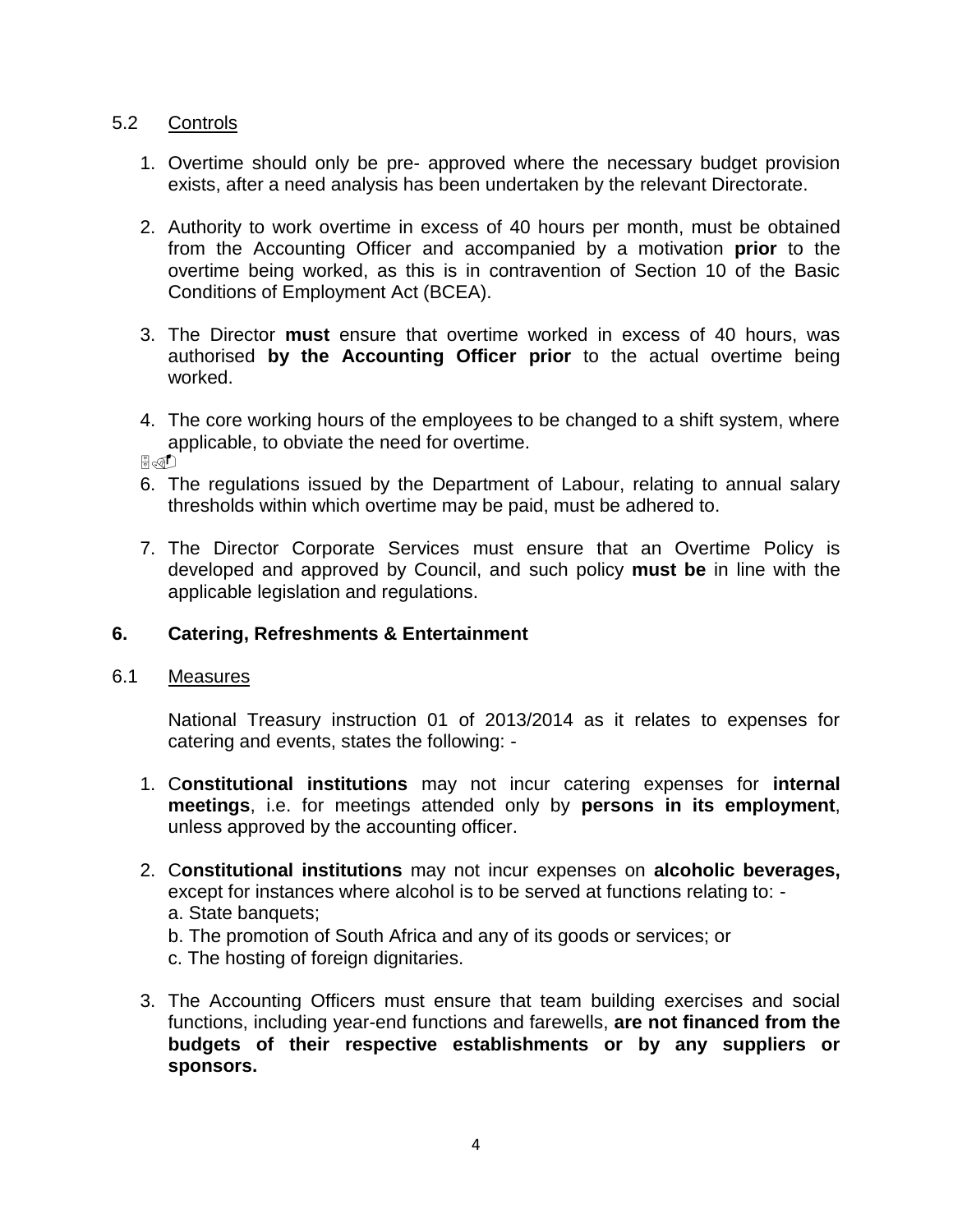#### 5.2 Controls

- 1. Overtime should only be pre- approved where the necessary budget provision exists, after a need analysis has been undertaken by the relevant Directorate.
- 2. Authority to work overtime in excess of 40 hours per month, must be obtained from the Accounting Officer and accompanied by a motivation **prior** to the overtime being worked, as this is in contravention of Section 10 of the Basic Conditions of Employment Act (BCEA).
- 3. The Director **must** ensure that overtime worked in excess of 40 hours, was authorised **by the Accounting Officer prior** to the actual overtime being worked.
- 4. The core working hours of the employees to be changed to a shift system, where applicable, to obviate the need for overtime.

 $\mathbb{F}_{\mathbb{F}}$ 

- 6. The regulations issued by the Department of Labour, relating to annual salary thresholds within which overtime may be paid, must be adhered to.
- 7. The Director Corporate Services must ensure that an Overtime Policy is developed and approved by Council, and such policy **must be** in line with the applicable legislation and regulations.

## **6. Catering, Refreshments & Entertainment**

#### 6.1 Measures

National Treasury instruction 01 of 2013/2014 as it relates to expenses for catering and events, states the following: -

- 1. C**onstitutional institutions** may not incur catering expenses for **internal meetings**, i.e. for meetings attended only by **persons in its employment**, unless approved by the accounting officer.
- 2. C**onstitutional institutions** may not incur expenses on **alcoholic beverages,**  except for instances where alcohol is to be served at functions relating to: a. State banquets;
	- b. The promotion of South Africa and any of its goods or services; or
	- c. The hosting of foreign dignitaries.
- 3. The Accounting Officers must ensure that team building exercises and social functions, including year-end functions and farewells, **are not financed from the budgets of their respective establishments or by any suppliers or sponsors.**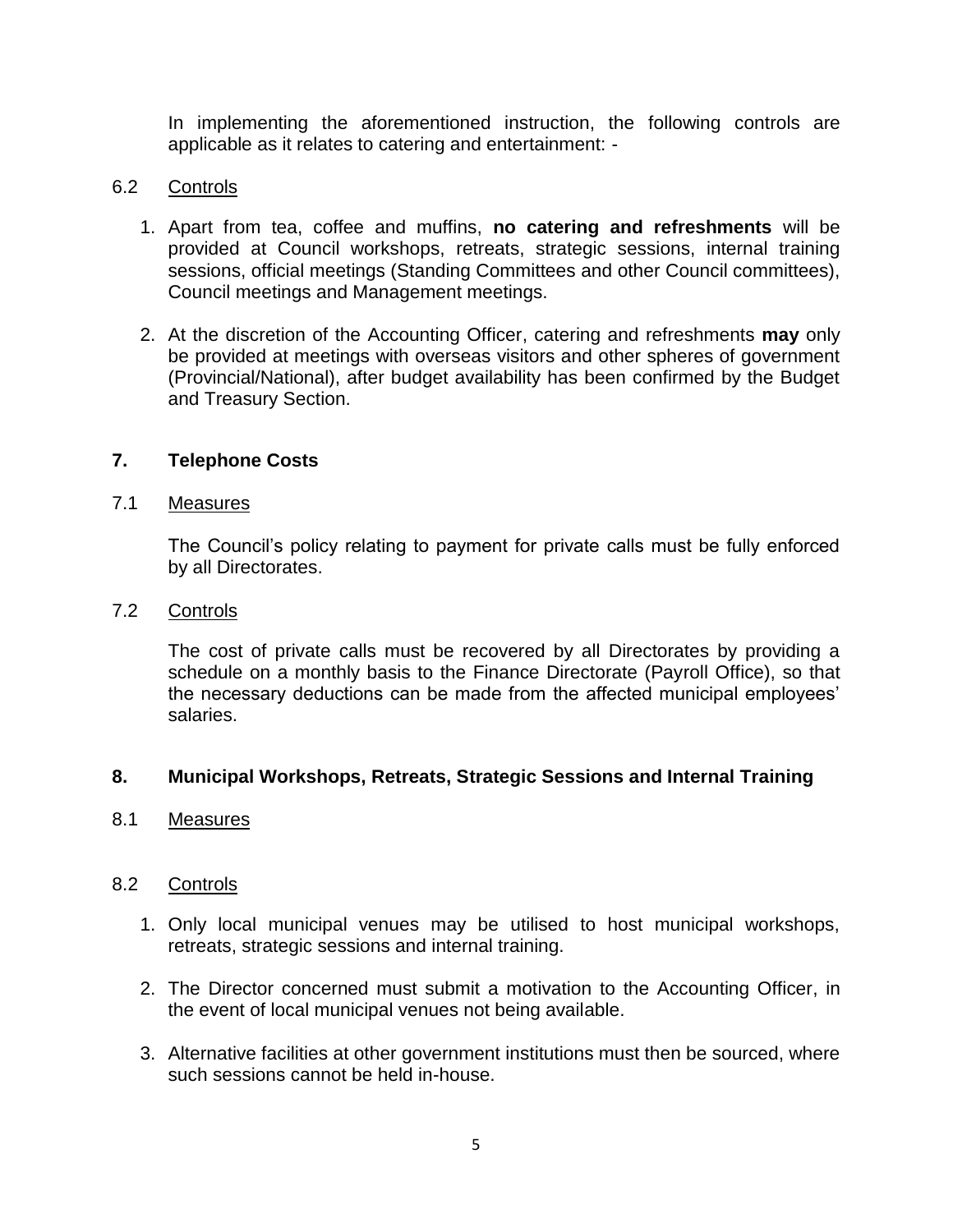In implementing the aforementioned instruction, the following controls are applicable as it relates to catering and entertainment: -

#### 6.2 Controls

- 1. Apart from tea, coffee and muffins, **no catering and refreshments** will be provided at Council workshops, retreats, strategic sessions, internal training sessions, official meetings (Standing Committees and other Council committees), Council meetings and Management meetings.
- 2. At the discretion of the Accounting Officer, catering and refreshments **may** only be provided at meetings with overseas visitors and other spheres of government (Provincial/National), after budget availability has been confirmed by the Budget and Treasury Section.

## **7. Telephone Costs**

#### 7.1 Measures

The Council's policy relating to payment for private calls must be fully enforced by all Directorates.

#### 7.2 Controls

The cost of private calls must be recovered by all Directorates by providing a schedule on a monthly basis to the Finance Directorate (Payroll Office), so that the necessary deductions can be made from the affected municipal employees' salaries.

#### **8. Municipal Workshops, Retreats, Strategic Sessions and Internal Training**

#### 8.1 Measures

#### 8.2 Controls

- 1. Only local municipal venues may be utilised to host municipal workshops, retreats, strategic sessions and internal training.
- 2. The Director concerned must submit a motivation to the Accounting Officer, in the event of local municipal venues not being available.
- 3. Alternative facilities at other government institutions must then be sourced, where such sessions cannot be held in-house.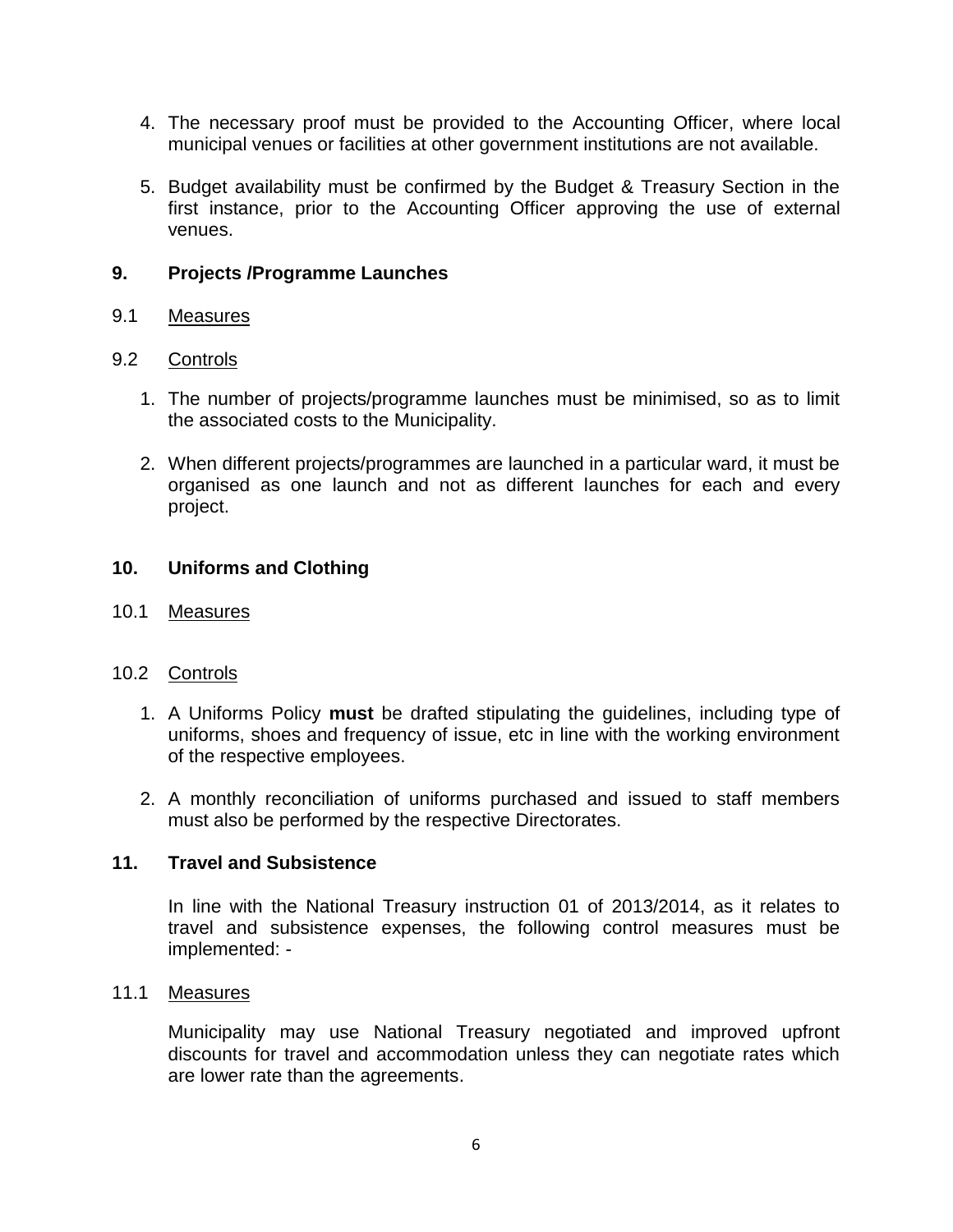- 4. The necessary proof must be provided to the Accounting Officer, where local municipal venues or facilities at other government institutions are not available.
- 5. Budget availability must be confirmed by the Budget & Treasury Section in the first instance, prior to the Accounting Officer approving the use of external venues.

#### **9. Projects /Programme Launches**

## 9.1 Measures

## 9.2 Controls

- 1. The number of projects/programme launches must be minimised, so as to limit the associated costs to the Municipality.
- 2. When different projects/programmes are launched in a particular ward, it must be organised as one launch and not as different launches for each and every project.

## **10. Uniforms and Clothing**

10.1 Measures

#### 10.2 Controls

- 1. A Uniforms Policy **must** be drafted stipulating the guidelines, including type of uniforms, shoes and frequency of issue, etc in line with the working environment of the respective employees.
- 2. A monthly reconciliation of uniforms purchased and issued to staff members must also be performed by the respective Directorates.

## **11. Travel and Subsistence**

In line with the National Treasury instruction 01 of 2013/2014, as it relates to travel and subsistence expenses, the following control measures must be implemented: -

#### 11.1 Measures

Municipality may use National Treasury negotiated and improved upfront discounts for travel and accommodation unless they can negotiate rates which are lower rate than the agreements.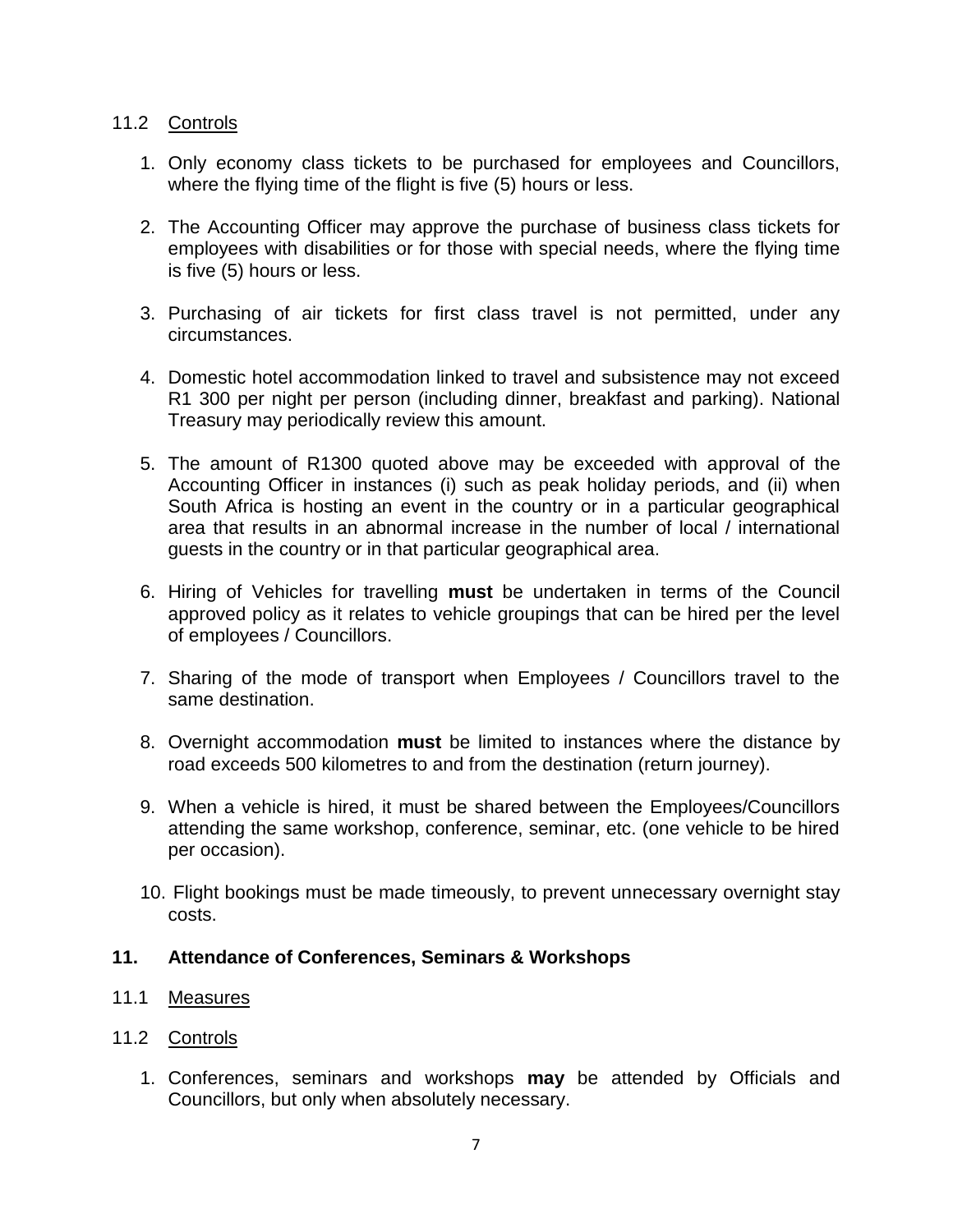#### 11.2 Controls

- 1. Only economy class tickets to be purchased for employees and Councillors, where the flying time of the flight is five (5) hours or less.
- 2. The Accounting Officer may approve the purchase of business class tickets for employees with disabilities or for those with special needs, where the flying time is five (5) hours or less.
- 3. Purchasing of air tickets for first class travel is not permitted, under any circumstances.
- 4. Domestic hotel accommodation linked to travel and subsistence may not exceed R1 300 per night per person (including dinner, breakfast and parking). National Treasury may periodically review this amount.
- 5. The amount of R1300 quoted above may be exceeded with approval of the Accounting Officer in instances (i) such as peak holiday periods, and (ii) when South Africa is hosting an event in the country or in a particular geographical area that results in an abnormal increase in the number of local / international guests in the country or in that particular geographical area.
- 6. Hiring of Vehicles for travelling **must** be undertaken in terms of the Council approved policy as it relates to vehicle groupings that can be hired per the level of employees / Councillors.
- 7. Sharing of the mode of transport when Employees / Councillors travel to the same destination.
- 8. Overnight accommodation **must** be limited to instances where the distance by road exceeds 500 kilometres to and from the destination (return journey).
- 9. When a vehicle is hired, it must be shared between the Employees/Councillors attending the same workshop, conference, seminar, etc. (one vehicle to be hired per occasion).
- 10. Flight bookings must be made timeously, to prevent unnecessary overnight stay costs.

#### **11. Attendance of Conferences, Seminars & Workshops**

#### 11.1 Measures

#### 11.2 Controls

1. Conferences, seminars and workshops **may** be attended by Officials and Councillors, but only when absolutely necessary.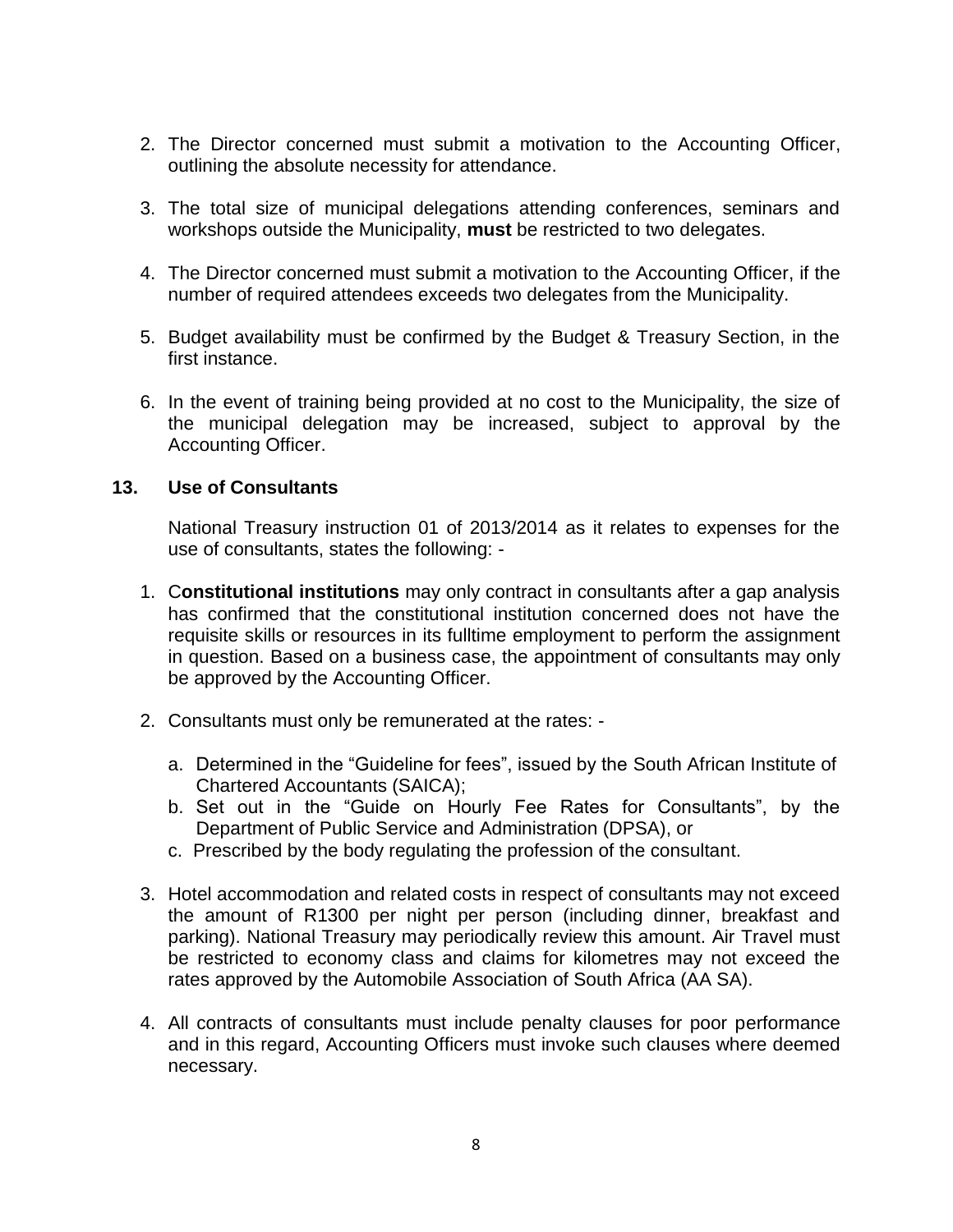- 2. The Director concerned must submit a motivation to the Accounting Officer, outlining the absolute necessity for attendance.
- 3. The total size of municipal delegations attending conferences, seminars and workshops outside the Municipality, **must** be restricted to two delegates.
- 4. The Director concerned must submit a motivation to the Accounting Officer, if the number of required attendees exceeds two delegates from the Municipality.
- 5. Budget availability must be confirmed by the Budget & Treasury Section, in the first instance.
- 6. In the event of training being provided at no cost to the Municipality, the size of the municipal delegation may be increased, subject to approval by the Accounting Officer.

#### **13. Use of Consultants**

National Treasury instruction 01 of 2013/2014 as it relates to expenses for the use of consultants, states the following: -

- 1. C**onstitutional institutions** may only contract in consultants after a gap analysis has confirmed that the constitutional institution concerned does not have the requisite skills or resources in its fulltime employment to perform the assignment in question. Based on a business case, the appointment of consultants may only be approved by the Accounting Officer.
- 2. Consultants must only be remunerated at the rates:
	- a. Determined in the "Guideline for fees", issued by the South African Institute of Chartered Accountants (SAICA);
	- b. Set out in the "Guide on Hourly Fee Rates for Consultants", by the Department of Public Service and Administration (DPSA), or
	- c. Prescribed by the body regulating the profession of the consultant.
- 3. Hotel accommodation and related costs in respect of consultants may not exceed the amount of R1300 per night per person (including dinner, breakfast and parking). National Treasury may periodically review this amount. Air Travel must be restricted to economy class and claims for kilometres may not exceed the rates approved by the Automobile Association of South Africa (AA SA).
- 4. All contracts of consultants must include penalty clauses for poor performance and in this regard, Accounting Officers must invoke such clauses where deemed necessary.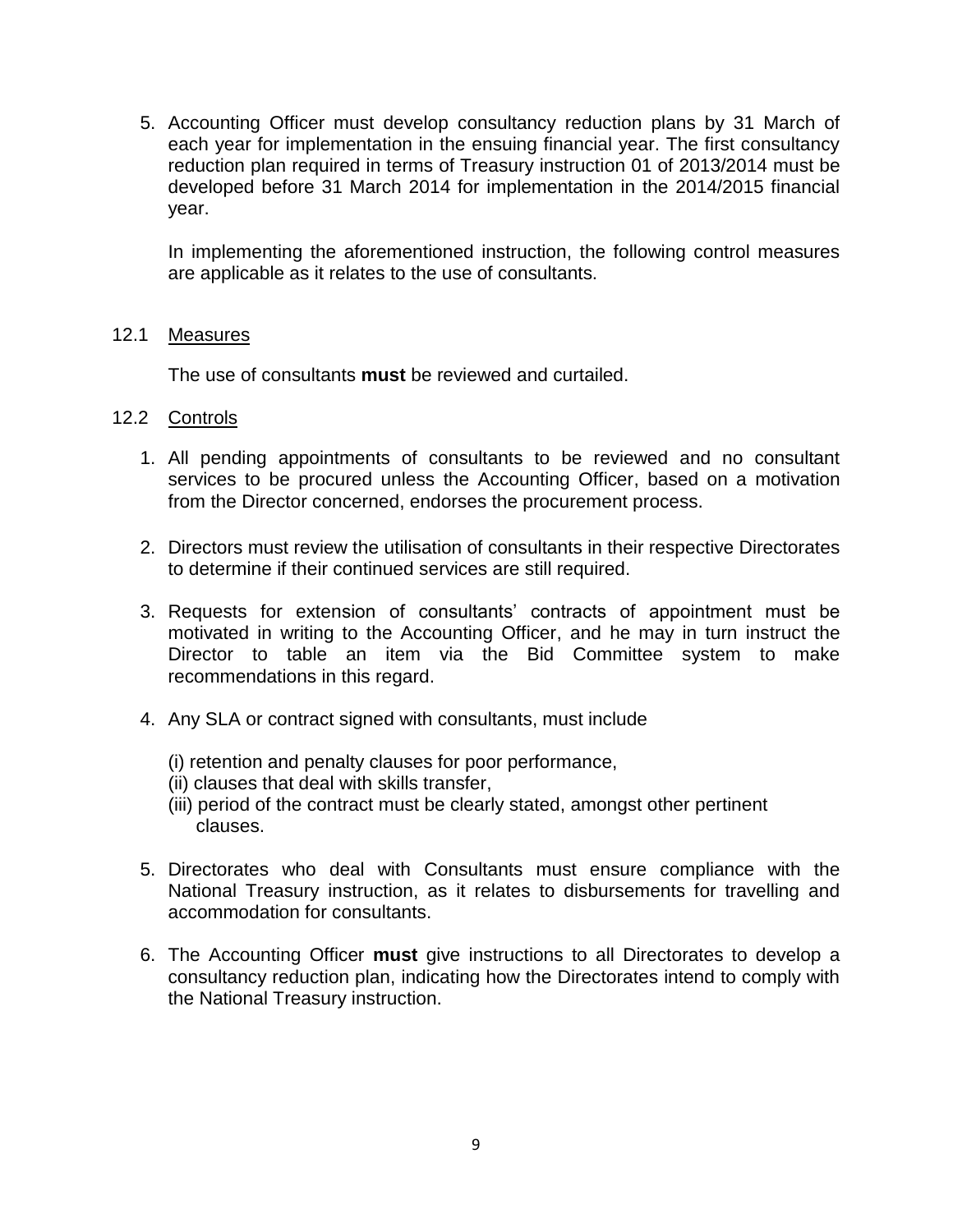5. Accounting Officer must develop consultancy reduction plans by 31 March of each year for implementation in the ensuing financial year. The first consultancy reduction plan required in terms of Treasury instruction 01 of 2013/2014 must be developed before 31 March 2014 for implementation in the 2014/2015 financial year.

In implementing the aforementioned instruction, the following control measures are applicable as it relates to the use of consultants.

#### 12.1 Measures

The use of consultants **must** be reviewed and curtailed.

- 12.2 Controls
	- 1. All pending appointments of consultants to be reviewed and no consultant services to be procured unless the Accounting Officer, based on a motivation from the Director concerned, endorses the procurement process.
	- 2. Directors must review the utilisation of consultants in their respective Directorates to determine if their continued services are still required.
	- 3. Requests for extension of consultants' contracts of appointment must be motivated in writing to the Accounting Officer, and he may in turn instruct the Director to table an item via the Bid Committee system to make recommendations in this regard.
	- 4. Any SLA or contract signed with consultants, must include
		- (i) retention and penalty clauses for poor performance,
		- (ii) clauses that deal with skills transfer,
		- (iii) period of the contract must be clearly stated, amongst other pertinent clauses.
	- 5. Directorates who deal with Consultants must ensure compliance with the National Treasury instruction, as it relates to disbursements for travelling and accommodation for consultants.
	- 6. The Accounting Officer **must** give instructions to all Directorates to develop a consultancy reduction plan, indicating how the Directorates intend to comply with the National Treasury instruction.